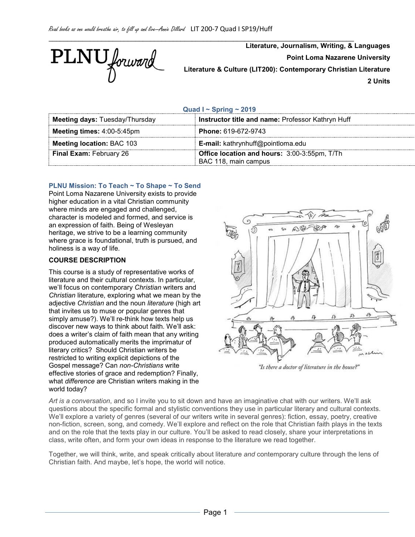

**Literature, Journalism, Writing, & Languages Point Loma Nazarene University Literature & Culture (LIT200): Contemporary Christian Literature 2 Units**

**Quad I ~ Spring ~ 2019**

\_\_\_\_\_\_\_\_\_\_\_\_\_\_\_\_\_\_\_\_\_\_\_\_\_\_\_\_\_\_\_\_\_\_\_\_\_\_\_\_\_\_\_\_\_\_\_\_\_\_\_\_\_\_\_\_\_\_\_\_\_\_\_\_\_\_\_\_\_\_\_\_\_\_\_\_\_\_\_\_\_

| <b>Meeting days: Tuesday/Thursday</b> | Instructor title and name: Professor Kathryn Huff                    |  |
|---------------------------------------|----------------------------------------------------------------------|--|
| Meeting times: 4:00-5:45pm            | <b>Phone: 619-672-9743</b>                                           |  |
| <b>Meeting location: BAC 103</b>      | E-mail: kathrynhuff@pointloma.edu                                    |  |
| <b>Final Exam: February 26</b>        | Office location and hours: 3:00-3:55pm, T/Th<br>BAC 118, main campus |  |

# **PLNU Mission: To Teach ~ To Shape ~ To Send**

Point Loma Nazarene University exists to provide higher education in a vital Christian community where minds are engaged and challenged, character is modeled and formed, and service is an expression of faith. Being of Wesleyan heritage, we strive to be a learning community where grace is foundational, truth is pursued, and holiness is a way of life.

## **COURSE DESCRIPTION**

This course is a study of representative works of literature and their cultural contexts. In particular, we'll focus on contemporary *Christian* writers and *Christian* literature, exploring what we mean by the adjective *Christian* and the noun *literature* (high art that invites us to muse or popular genres that simply amuse?). We'll re-think how texts help us discover new ways to think about faith. We'll ask: does a writer's claim of faith mean that any writing produced automatically merits the imprimatur of literary critics? Should Christian writers be restricted to writing explicit depictions of the Gospel message? Can *non-Christians* write effective stories of grace and redemption? Finally, what *difference* are Christian writers making in the world today?



"Is there a doctor of literature in the house?"

*Art is a conversation*, and so I invite you to sit down and have an imaginative chat with our writers. We'll ask questions about the specific formal and stylistic conventions they use in particular literary and cultural contexts. We'll explore a variety of genres (several of our writers write in several genres): fiction, essay, poetry, creative non-fiction, screen, song, and comedy. We'll explore and reflect on the role that Christian faith plays in the texts and on the role that the texts play in our culture. You'll be asked to read closely, share your interpretations in class, write often, and form your own ideas in response to the literature we read together.

Together, we will think, write, and speak critically about literature *and* contemporary culture through the lens of Christian faith. And maybe, let's hope, the world will notice.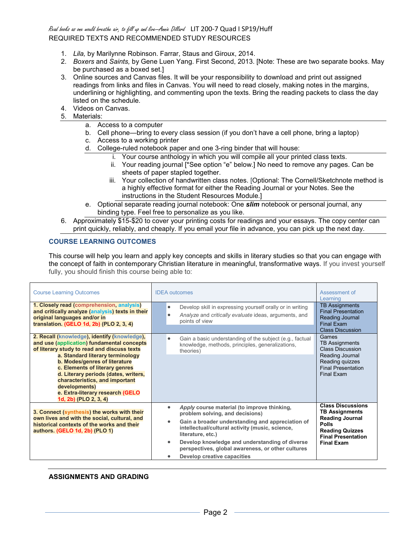# Read books as one would breathe air, to fill up and live—Annie Dillard LIT 200-7 Quad I SP19/Huff REQUIRED TEXTS AND RECOMMENDED STUDY RESOURCES

- 1. *Lila,* by Marilynne Robinson. Farrar, Staus and Giroux, 2014.
- 2. *Boxers* and *Saints,* by Gene Luen Yang. First Second, 2013. [Note: These are two separate books. May be purchased as a boxed set.]
- 3. Online sources and Canvas files. It will be your responsibility to download and print out assigned readings from links and files in Canvas. You will need to read closely, making notes in the margins, underlining or highlighting, and commenting upon the texts. Bring the reading packets to class the day listed on the schedule.
- 4. Videos on Canvas.
- 5. Materials:
	- a. Access to a computer
	- b. Cell phone—bring to every class session (if you don't have a cell phone, bring a laptop)
	- c. Access to a working printer
	- d. College-ruled notebook paper and one 3-ring binder that will house:
		- i. Your course anthology in which you will compile all your printed class texts.
		- ii. Your reading journal [\*See option "e" below.] No need to remove any pages. Can be sheets of paper stapled together.
		- iii. Your collection of handwritten class notes. [Optional: The Cornell/Sketchnote method is a highly effective format for either the Reading Journal or your Notes. See the instructions in the Student Resources Module.]
	- e. Optional separate reading journal notebook: One *slim* notebook or personal journal, any binding type. Feel free to personalize as you like.
- 6. Approximately \$15-\$20 to cover your printing costs for readings and your essays. The copy center can print quickly, reliably, and cheaply. If you email your file in advance, you can pick up the next day.

## **COURSE LEARNING OUTCOMES**

This course will help you learn and apply key concepts and skills in literary studies so that you can engage with the concept of faith in contemporary Christian literature in meaningful, transformative ways. If you invest yourself fully, you should finish this course being able to:

| <b>Course Learning Outcomes</b>                                                                                                                                                                                                                                                                                                                                                                          | <b>IDEA</b> outcomes                                                                                                                                                                                                                                                                                                                                               | Assessment of<br>Learning                                                                                                                                        |
|----------------------------------------------------------------------------------------------------------------------------------------------------------------------------------------------------------------------------------------------------------------------------------------------------------------------------------------------------------------------------------------------------------|--------------------------------------------------------------------------------------------------------------------------------------------------------------------------------------------------------------------------------------------------------------------------------------------------------------------------------------------------------------------|------------------------------------------------------------------------------------------------------------------------------------------------------------------|
| 1. Closely read (comprehension, analysis)<br>and critically analyze (analysis) texts in their<br>original languages and/or in<br>translation. (GELO 1d, 2b) (PLO 2, 3, 4)                                                                                                                                                                                                                                | Develop skill in expressing yourself orally or in writing<br>$\bullet$<br>Analyze and critically evaluate ideas, arguments, and<br>points of view                                                                                                                                                                                                                  | <b>TB Assignments</b><br><b>Final Presentation</b><br>Reading Journal<br><b>Final Exam</b><br><b>Class Discussion</b>                                            |
| 2. Recall (knowledge), identify (knowledge),<br>and use (application) fundamental concepts<br>of literary study to read and discuss texts<br>a. Standard literary terminology<br>b. Modes/genres of literature<br>c. Elements of literary genres<br>d. Literary periods (dates, writers,<br>characteristics, and important<br>developments)<br>e. Extra-literary research (GELO<br>1d, 2b) (PLO 2, 3, 4) | Gain a basic understanding of the subject (e.g., factual<br>$\bullet$<br>knowledge, methods, principles, generalizations,<br>theories)                                                                                                                                                                                                                             | Games<br><b>TB Assignments</b><br><b>Class Discussion</b><br>Reading Journal<br>Reading quizzes<br><b>Final Presentation</b><br>Final Exam                       |
| 3. Connect (synthesis) the works with their<br>own lives and with the social, cultural, and<br>historical contexts of the works and their<br>authors. (GELO 1d, 2b) (PLO 1)                                                                                                                                                                                                                              | Apply course material (to improve thinking,<br>problem solving, and decisions)<br>Gain a broader understanding and appreciation of<br>$\bullet$<br>intellectual/cultural activity (music, science,<br>literature, etc.)<br>Develop knowledge and understanding of diverse<br>٠<br>perspectives, global awareness, or other cultures<br>Develop creative capacities | <b>Class Discussions</b><br><b>TB Assignments</b><br><b>Reading Journal</b><br>Polls<br><b>Reading Quizzes</b><br><b>Final Presentation</b><br><b>Final Exam</b> |

#### **ASSIGNMENTS AND GRADING**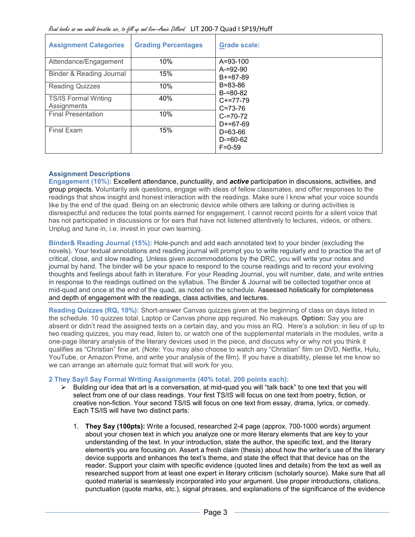| <b>Assignment Categories</b>               | <b>Grading Percentages</b> | <b>Grade scale:</b>                          |
|--------------------------------------------|----------------------------|----------------------------------------------|
| Attendance/Engagement                      | 10%                        | A=93-100<br>$A = 92 - 90$                    |
| Binder & Reading Journal                   | 15%                        | $B+=87-89$                                   |
| <b>Reading Quizzes</b>                     | 10%                        | B=83-86<br>$B = 80 - 82$                     |
| <b>TS/IS Formal Writing</b><br>Assignments | 40%                        | $C+=77-79$<br>$C = 73 - 76$                  |
| <b>Final Presentation</b>                  | 10%                        | $C = 70 - 72$<br>$D+=67-69$                  |
| Final Exam                                 | 15%                        | $D = 63 - 66$<br>$D = 60 - 62$<br>$F = 0.59$ |

# **Assignment Descriptions**

**Engagement (10%):** Excellent attendance, punctuality, and *active* participation in discussions, activities, and group projects. Voluntarily ask questions, engage with ideas of fellow classmates, and offer responses to the readings that show insight and honest interaction with the readings. Make sure I know what your voice sounds like by the end of the quad. Being on an electronic device while others are talking or during activities is disrespectful and reduces the total points earned for engagement. I cannot record points for a silent voice that has not participated in discussions or for ears that have not listened attentively to lectures, videos, or others. Unplug and tune in, i.e. invest in your own learning.

**Binder& Reading Journal (15%):** Hole-punch and add each annotated text to your binder (excluding the novels). Your textual annotations and reading journal will prompt you to write regularly and to practice the art of critical, close, and slow reading. Unless given accommodations by the DRC, you will write your notes and journal by hand. The binder will be your space to respond to the course readings and to record your evolving thoughts and feelings about faith in literature. For your Reading Journal, you will number, date, and write entries in response to the readings outlined on the syllabus. The Binder & Journal will be collected together once at mid-quad and once at the end of the quad, as noted on the schedule. Assessed holistically for completeness and depth of engagement with the readings, class activities, and lectures.

**Reading Quizzes (RQ, 10%):** Short-answer Canvas quizzes given at the beginning of class on days listed in the schedule. 10 quizzes total. Laptop or Canvas phone app required. No makeups. **Option:** Say you are absent or didn't read the assigned texts on a certain day, and you miss an RQ. Here's a solution: in lieu of up to two reading quizzes, you may read, listen to, or watch one of the supplemental materials in the modules, write a one-page literary analysis of the literary devices used in the piece, and discuss why or why not you think it qualifies as "Christian" fine art. (Note: You may also choose to watch any "Christian" film on DVD, Netflix, Hulu, YouTube, or Amazon Prime, and write your analysis of the film). If you have a disability, please let me know so we can arrange an alternate quiz format that will work for you.

# **2 They Say/I Say Formal Writing Assignments (40% total, 200 points each):**

- $\triangleright$  Building our idea that art is a conversation, at mid-quad you will "talk back" to one text that you will select from one of our class readings. Your first TS/IS will focus on one text from poetry, fiction, or creative non-fiction. Your second TS/IS will focus on one text from essay, drama, lyrics, or comedy. Each TS/IS will have two distinct parts:
	- 1. **They Say (100pts):** Write a focused, researched 2-4 page (approx. 700-1000 words) argument about your chosen text in which you analyze one or more literary elements that are key to your understanding of the text. In your introduction, state the author, the specific text, and the literary element/s you are focusing on. Assert a fresh claim (thesis) about how the writer's use of the literary device supports and enhances the text's theme, and state the effect that that device has on the reader. Support your claim with specific evidence (quoted lines and details) from the text as well as researched support from at least one expert in literary criticism (scholarly source). Make sure that all quoted material is seamlessly incorporated into your argument. Use proper introductions, citations, punctuation (quote marks, etc.), signal phrases, and explanations of the significance of the evidence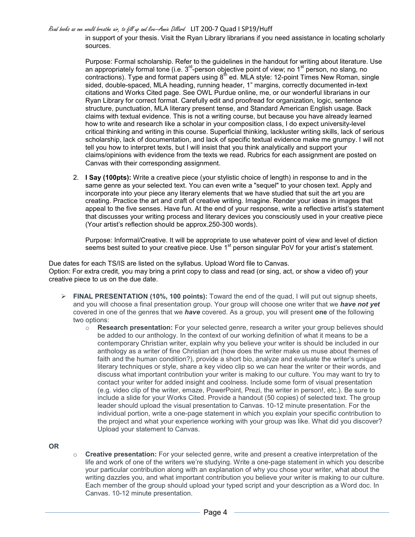Read books as one would breathe air, to fill up and live—Annie Dillard LIT 200-7 Quad I SP19/Huff

in support of your thesis. Visit the Ryan Library librarians if you need assistance in locating scholarly sources.

Purpose: Formal scholarship. Refer to the guidelines in the handout for writing about literature. Use an appropriately formal tone (i.e.  $3^{rd}$ -person objective point of view; no  $1^{st}$  person, no slang, no contractions). Type and format papers using  $8<sup>th</sup>$  ed. MLA style: 12-point Times New Roman, single sided, double-spaced, MLA heading, running header, 1" margins, correctly documented in-text citations and Works Cited page. See OWL Purdue online, me, or our wonderful librarians in our Ryan Library for correct format. Carefully edit and proofread for organization, logic, sentence structure, punctuation, MLA literary present tense, and Standard American English usage. Back claims with textual evidence. This is not a writing course, but because you have already learned how to write and research like a scholar in your composition class, I do expect university-level critical thinking and writing in this course. Superficial thinking, lackluster writing skills, lack of serious scholarship, lack of documentation, and lack of specific textual evidence make me grumpy. I will not tell you how to interpret texts, but I will insist that you think analytically and support your claims/opinions with evidence from the texts we read. Rubrics for each assignment are posted on Canvas with their corresponding assignment.

2. **I Say (100pts):** Write a creative piece (your stylistic choice of length) in response to and in the same genre as your selected text. You can even write a "sequel" to your chosen text. Apply and incorporate into your piece any literary elements that we have studied that suit the art you are creating. Practice the art and craft of creative writing. Imagine. Render your ideas in images that appeal to the five senses. Have fun. At the end of your response, write a reflective artist's statement that discusses your writing process and literary devices you consciously used in your creative piece (Your artist's reflection should be approx.250-300 words).

Purpose: Informal/Creative. It will be appropriate to use whatever point of view and level of diction seems best suited to your creative piece. Use 1<sup>st</sup> person singular PoV for your artist's statement.

Due dates for each TS/IS are listed on the syllabus. Upload Word file to Canvas. Option: For extra credit, you may bring a print copy to class and read (or sing, act, or show a video of) your creative piece to us on the due date.

- **FINAL PRESENTATION (10%, 100 points):** Toward the end of the quad, I will put out signup sheets, and you will choose a final presentation group. Your group will choose one writer that we *have not yet* covered in one of the genres that we *have* covered. As a group, you will present **one** of the following two options:
	- o **Research presentation:** For your selected genre, research a writer your group believes should be added to our anthology. In the context of our working definition of what it means to be a contemporary Christian writer, explain why you believe your writer is should be included in our anthology as a writer of fine Christian art (how does the writer make us muse about themes of faith and the human condition?), provide a short bio, analyze and evaluate the writer's unique literary techniques or style, share a key video clip so we can hear the writer or their words, and discuss what important contribution your writer is making to our culture. You may want to try to contact your writer for added insight and coolness. Include some form of visual presentation (e.g. video clip of the writer, emaze, PowerPoint, Prezi, the writer in person!, etc.). Be sure to include a slide for your Works Cited. Provide a handout (50 copies) of selected text. The group leader should upload the visual presentation to Canvas. 10-12 minute presentation. For the individual portion, write a one-page statement in which you explain your specific contribution to the project and what your experience working with your group was like. What did you discover? Upload your statement to Canvas.

**OR**

o **Creative presentation:** For your selected genre, write and present a creative interpretation of the life and work of one of the writers we're studying. Write a one-page statement in which you describe your particular contribution along with an explanation of why you chose your writer, what about the writing dazzles you, and what important contribution you believe your writer is making to our culture. Each member of the group should upload your typed script and your description as a Word doc. In Canvas. 10-12 minute presentation.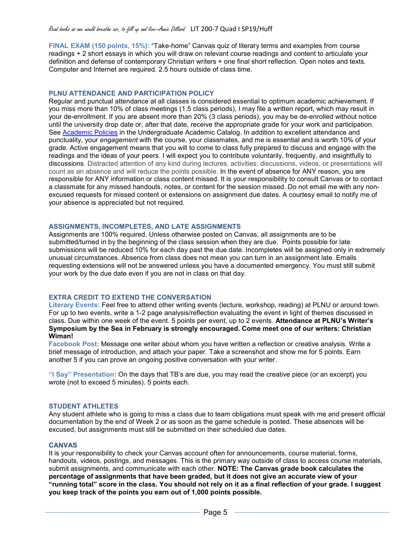#### Read books as one would breathe air, to fill up and live—Annie Dillard LIT 200-7 Quad I SP19/Huff

**FINAL EXAM (150 points, 15%):** "Take-home" Canvas quiz of literary terms and examples from course readings + 2 short essays in which you will draw on relevant course readings and content to articulate your definition and defense of contemporary Christian writers + one final short reflection. Open notes and texts. Computer and Internet are required. 2.5 hours outside of class time.

#### **PLNU ATTENDANCE AND PARTICIPATION POLICY**

Regular and punctual attendance at all classes is considered essential to optimum academic achievement. If you miss more than 10% of class meetings (1.5 class periods), I may file a written report, which may result in your de-enrollment. If you are absent more than 20% (3 class periods), you may be de-enrolled without notice until the university drop date or, after that date, receive the appropriate grade for your work and participation. See [Academic Policies](http://catalog.pointloma.edu/content.php?catoid=18&navoid=1278) in the Undergraduate Academic Catalog. In addition to excellent attendance and punctuality, your *engagement* with the course, your classmates, and me is essential and is worth 10% of your grade. Active engagement means that you will to come to class fully prepared to discuss and engage with the readings and the ideas of your peers. I will expect you to contribute voluntarily, frequently, and insightfully to discussions. Distracted attention of any kind during lectures, activities, discussions, videos, or presentations will count as an absence and will reduce the points possible. In the event of absence for ANY reason, you are responsible for ANY information or class content missed. It is your responsibility to consult Canvas or to contact a classmate for any missed handouts, notes, or content for the session missed. Do not email me with any nonexcused requests for missed content or extensions on assignment due dates. A courtesy email to notify me of your absence is appreciated but not required.

## **ASSIGNMENTS, INCOMPLETES, AND LATE ASSIGNMENTS**

Assignments are 100% required. Unless otherwise posted on Canvas, all assignments are to be submitted/turned in by the beginning of the class session when they are due. Points possible for late submissions will be reduced 10% for each day past the due date. Incompletes will be assigned only in extremely unusual circumstances. Absence from class does not mean you can turn in an assignment late. Emails requesting extensions will not be answered unless you have a documented emergency. You must still submit your work by the due date even if you are not in class on that day.

# **EXTRA CREDIT TO EXTEND THE CONVERSATION**

**Literary Events:** Feel free to attend other writing events (lecture, workshop, reading) at PLNU or around town. For up to two events, write a 1-2 page analysis/reflection evaluating the event in light of themes discussed in class. Due within one week of the event. 5 points per event, up to 2 events. **Attendance at PLNU's Writer's Symposium by the Sea in February is strongly encouraged. Come meet one of our writers: Christian Wiman!**

**Facebook Post:** Message one writer about whom you have written a reflection or creative analysis. Write a brief message of introduction, and attach your paper. Take a screenshot and show me for 5 points. Earn another 5 if you can prove an ongoing positive conversation with your writer.

**"I Say" Presentation:** On the days that TB's are due, you may read the creative piece (or an excerpt) you wrote (not to exceed 5 minutes). 5 points each.

#### **STUDENT ATHLETES**

Any student athlete who is going to miss a class due to team obligations must speak with me and present official documentation by the end of Week 2 or as soon as the game schedule is posted. These absences will be excused, but assignments must still be submitted on their scheduled due dates.

#### **CANVAS**

It is your responsibility to check your Canvas account often for announcements, course material, forms, handouts, videos, postings, and messages. This is the primary way outside of class to access course materials, submit assignments, and communicate with each other. **NOTE: The Canvas grade book calculates the percentage of assignments that have been graded, but it does not give an accurate view of your "running total" score in the class. You should not rely on it as a final reflection of your grade. I suggest you keep track of the points you earn out of 1,000 points possible.**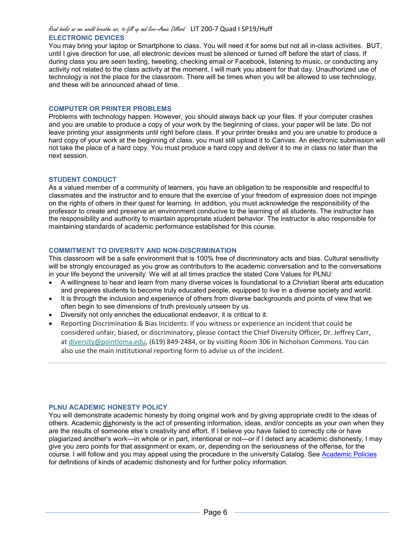#### Read books as one would breathe air, to fill up and live—Annie Dillard LIT 200-7 Quad I SP19/Huff **ELECTRONIC DEVICES**

You may bring your laptop or Smartphone to class. You will need it for some but not all in-class activities. BUT, until I give direction for use, all electronic devices must be silenced or turned off before the start of class. If during class you are seen texting, tweeting, checking email or Facebook, listening to music, or conducting any activity not related to the class activity at the moment, I will mark you absent for that day. Unauthorized use of technology is not the place for the classroom. There will be times when you will be allowed to use technology, and these will be announced ahead of time.

## **COMPUTER OR PRINTER PROBLEMS**

Problems with technology happen. However, you should always back up your files. If your computer crashes and you are unable to produce a copy of your work by the beginning of class, your paper will be late. Do not leave printing your assignments until right before class. If your printer breaks and you are unable to produce a hard copy of your work at the beginning of class, you must still upload it to Canvas. An electronic submission will not take the place of a hard copy. You must produce a hard copy and deliver it to me in class no later than the next session.

#### **STUDENT CONDUCT**

As a valued member of a community of learners, you have an obligation to be responsible and respectful to classmates and the instructor and to ensure that the exercise of your freedom of expression does not impinge on the rights of others in their quest for learning. In addition, you must acknowledge the responsibility of the professor to create and preserve an environment conducive to the learning of all students. The instructor has the responsibility and authority to maintain appropriate student behavior. The instructor is also responsible for maintaining standards of academic performance established for this course.

## **COMMITMENT TO DIVERSITY AND NON-DISCRIMINATION**

This classroom will be a safe environment that is 100% free of discriminatory acts and bias. Cultural sensitivity will be strongly encouraged as you grow as contributors to the academic conversation and to the conversations in your life beyond the university. We will at all times practice the stated Core Values for PLNU:

- A willingness to hear and learn from many diverse voices is foundational to a Christian liberal arts education and prepares students to become truly educated people, equipped to live in a diverse society and world.
- It is through the inclusion and experience of others from diverse backgrounds and points of view that we often begin to see dimensions of truth previously unseen by us.
- Diversity not only enriches the educational endeavor, it is critical to it.
- Reporting Discrimination & Bias Incidents: If you witness or experience an incident that could be considered unfair, biased, or discriminatory, please contact the Chief Diversity Officer, Dr. Jeffrey Carr, at [diversity@pointloma.edu,](mailto:diversity@pointloma.edu) (619) 849-2484, or by visiting Room 306 in Nicholson Commons. You can also use the main institutional reporting form to advise us of the incident.

#### **PLNU ACADEMIC HONESTY POLICY**

You will demonstrate academic honesty by doing original work and by giving appropriate credit to the ideas of others. Academic dishonesty is the act of presenting information, ideas, and/or concepts as your own when they are the results of someone else's creativity and effort. If I believe you have failed to correctly cite or have plagiarized another's work—in whole or in part, intentional or not—or if I detect any academic dishonesty, I may give you zero points for that assignment or exam, or, depending on the seriousness of the offense, for the course. I will follow and you may appeal using the procedure in the university Catalog. See [Academic Policies](http://catalog.pointloma.edu/content.php?catoid=18&navoid=1278) for definitions of kinds of academic dishonesty and for further policy information.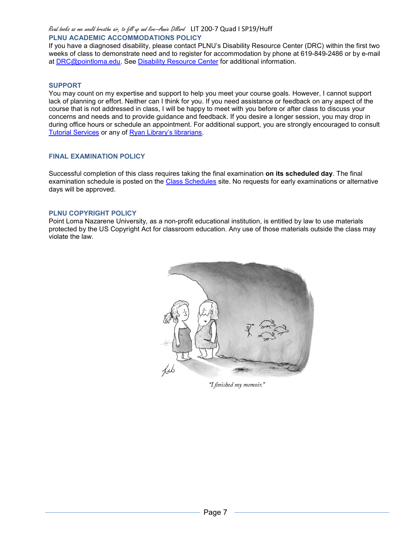Read books as one would breathe air, to fill up and live—Annie Dillard LIT 200-7 Quad I SP19/Huff **PLNU ACADEMIC ACCOMMODATIONS POLICY**

If you have a diagnosed disability, please contact PLNU's Disability Resource Center (DRC) within the first two weeks of class to demonstrate need and to register for accommodation by phone at 619-849-2486 or by e-mail at [DRC@pointloma.edu.](mailto:DRC@pointloma.edu) See [Disability Resource Center](http://www.pointloma.edu/experience/offices/administrative-offices/academic-advising-office/disability-resource-center) for additional information.

## **SUPPORT**

You may count on my expertise and support to help you meet your course goals. However, I cannot support lack of planning or effort. Neither can I think for you. If you need assistance or feedback on any aspect of the course that is not addressed in class, I will be happy to meet with you before or after class to discuss your concerns and needs and to provide guidance and feedback. If you desire a longer session, you may drop in during office hours or schedule an appointment. For additional support, you are strongly encouraged to consult [Tutorial Services](http://www.pointloma.edu/experience/offices/student-services/tutorial-services/services) or any of [Ryan Library's librarians.](http://www.pointloma.edu/ryanlibrary)

## **FINAL EXAMINATION POLICY**

Successful completion of this class requires taking the final examination **on its scheduled day**. The final examination schedule is posted on the [Class Schedules](http://www.pointloma.edu/experience/academics/class-schedules) site. No requests for early examinations or alternative days will be approved.

#### **PLNU COPYRIGHT POLICY**

Point Loma Nazarene University, as a non-profit educational institution, is entitled by law to use materials protected by the US Copyright Act for classroom education. Any use of those materials outside the class may violate the law.



"I finished my memoir."